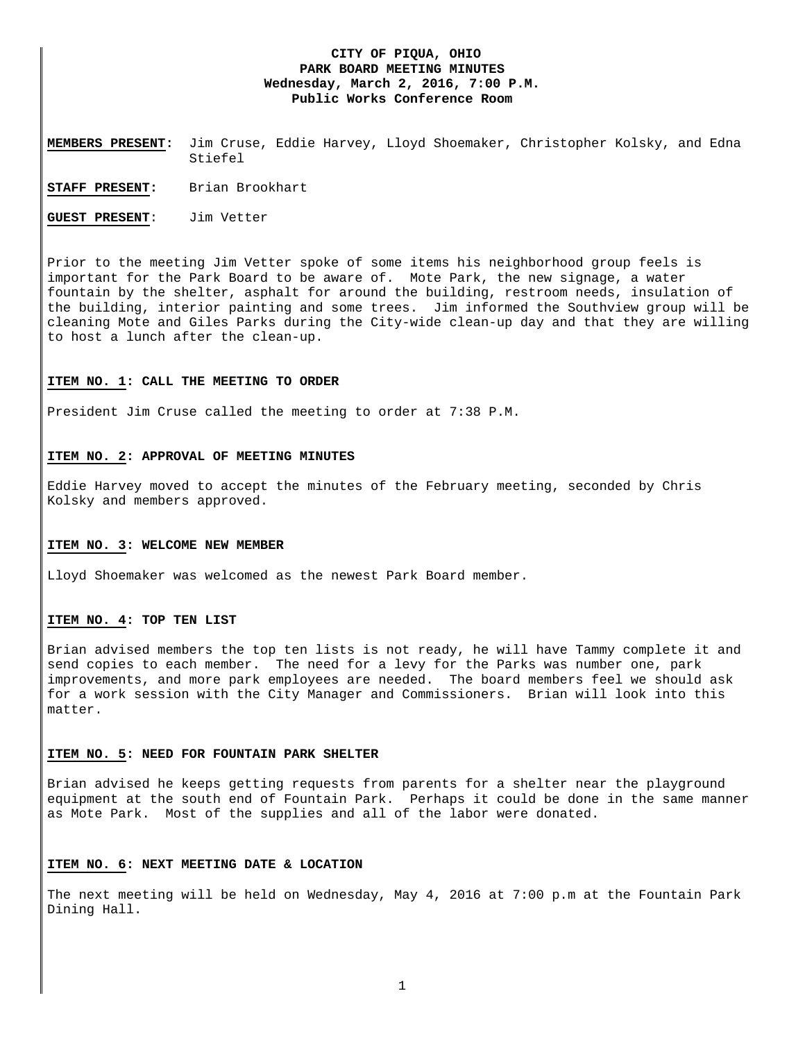# **CITY OF PIQUA, OHIO PARK BOARD MEETING MINUTES Wednesday, March 2, 2016, 7:00 P.M. Public Works Conference Room**

**MEMBERS PRESENT:** Jim Cruse, Eddie Harvey, Lloyd Shoemaker, Christopher Kolsky, and Edna Stiefel

**STAFF PRESENT:** Brian Brookhart

**GUEST PRESENT**: Jim Vetter

Prior to the meeting Jim Vetter spoke of some items his neighborhood group feels is important for the Park Board to be aware of. Mote Park, the new signage, a water fountain by the shelter, asphalt for around the building, restroom needs, insulation of the building, interior painting and some trees. Jim informed the Southview group will be cleaning Mote and Giles Parks during the City-wide clean-up day and that they are willing to host a lunch after the clean-up.

### **ITEM NO. 1: CALL THE MEETING TO ORDER**

President Jim Cruse called the meeting to order at 7:38 P.M.

# **ITEM NO. 2: APPROVAL OF MEETING MINUTES**

Eddie Harvey moved to accept the minutes of the February meeting, seconded by Chris Kolsky and members approved.

#### **ITEM NO. 3: WELCOME NEW MEMBER**

Lloyd Shoemaker was welcomed as the newest Park Board member.

# **ITEM NO. 4: TOP TEN LIST**

Brian advised members the top ten lists is not ready, he will have Tammy complete it and send copies to each member. The need for a levy for the Parks was number one, park improvements, and more park employees are needed. The board members feel we should ask for a work session with the City Manager and Commissioners. Brian will look into this matter.

# **ITEM NO. 5: NEED FOR FOUNTAIN PARK SHELTER**

Brian advised he keeps getting requests from parents for a shelter near the playground equipment at the south end of Fountain Park. Perhaps it could be done in the same manner as Mote Park. Most of the supplies and all of the labor were donated.

#### **ITEM NO. 6: NEXT MEETING DATE & LOCATION**

The next meeting will be held on Wednesday, May 4, 2016 at 7:00 p.m at the Fountain Park Dining Hall.